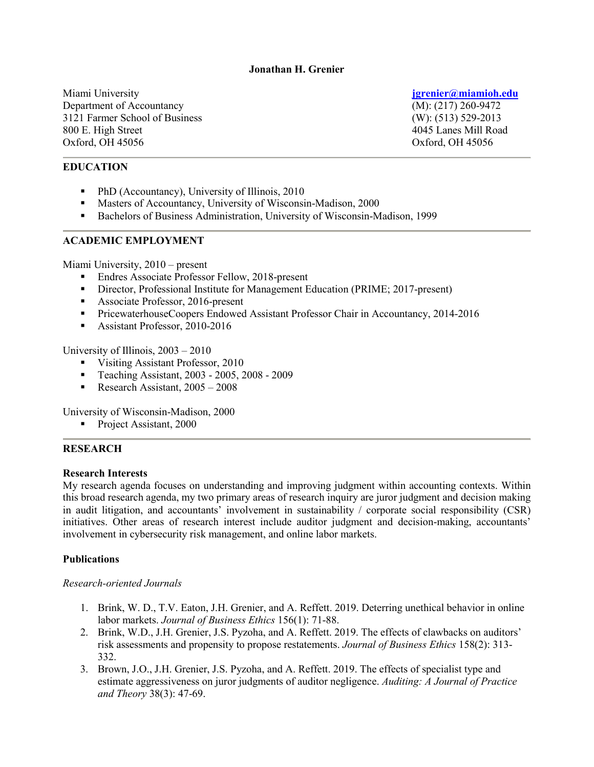## **Jonathan H. Grenier**

Miami University **[jgrenier@miamioh.edu](mailto:jgrenier@miamioh.edu)** Department of Accountancy (M): (217) 260-9472 3121 Farmer School of Business (W): (513) 529-2013 800 E. High Street 4045 Lanes Mill Road Oxford, OH 45056 Oxford, OH 45056

## **EDUCATION**

- PhD (Accountancy), University of Illinois, 2010
- Masters of Accountancy, University of Wisconsin-Madison, 2000
- Bachelors of Business Administration, University of Wisconsin-Madison, 1999

## **ACADEMIC EMPLOYMENT**

Miami University, 2010 – present

- Endres Associate Professor Fellow, 2018-present
- **Director, Professional Institute for Management Education (PRIME; 2017-present)**
- Associate Professor, 2016-present
- **PricewaterhouseCoopers Endowed Assistant Professor Chair in Accountancy, 2014-2016**
- Assistant Professor, 2010-2016

University of Illinois, 2003 – 2010

- Visiting Assistant Professor, 2010
- Teaching Assistant, 2003 2005, 2008 2009
- Research Assistant,  $2005 2008$

University of Wisconsin-Madison, 2000

Project Assistant, 2000

## **RESEARCH**

## **Research Interests**

My research agenda focuses on understanding and improving judgment within accounting contexts. Within this broad research agenda, my two primary areas of research inquiry are juror judgment and decision making in audit litigation, and accountants' involvement in sustainability / corporate social responsibility (CSR) initiatives. Other areas of research interest include auditor judgment and decision-making, accountants' involvement in cybersecurity risk management, and online labor markets.

## **Publications**

## *Research-oriented Journals*

- 1. Brink, W. D., T.V. Eaton, J.H. Grenier, and A. Reffett. 2019. Deterring unethical behavior in online labor markets. *Journal of Business Ethics* 156(1): 71-88.
- 2. Brink, W.D., J.H. Grenier, J.S. Pyzoha, and A. Reffett. 2019. The effects of clawbacks on auditors' risk assessments and propensity to propose restatements. *Journal of Business Ethics* 158(2): 313- 332.
- 3. Brown, J.O., J.H. Grenier, J.S. Pyzoha, and A. Reffett. 2019. The effects of specialist type and estimate aggressiveness on juror judgments of auditor negligence. *Auditing: A Journal of Practice and Theory* 38(3): 47-69.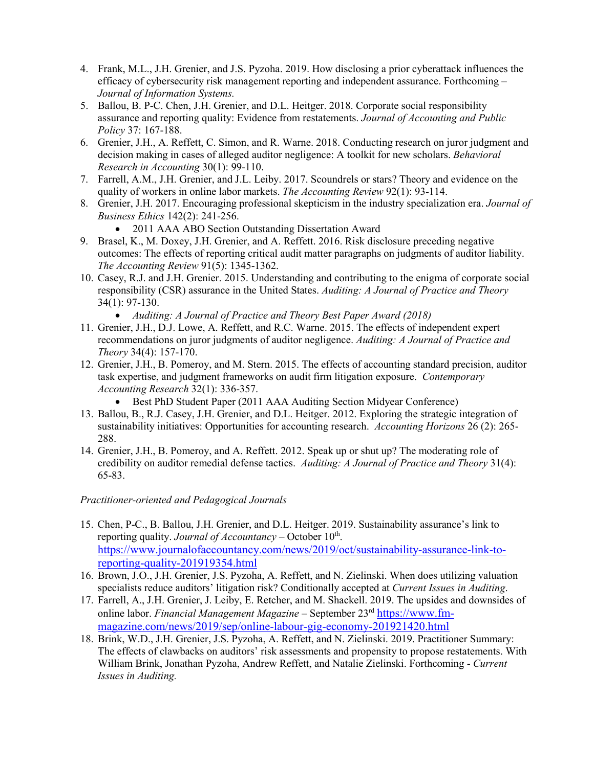- 4. Frank, M.L., J.H. Grenier, and J.S. Pyzoha. 2019. How disclosing a prior cyberattack influences the efficacy of cybersecurity risk management reporting and independent assurance. Forthcoming – *Journal of Information Systems.*
- 5. Ballou, B. P-C. Chen, J.H. Grenier, and D.L. Heitger. 2018. Corporate social responsibility assurance and reporting quality: Evidence from restatements. *Journal of Accounting and Public Policy* 37: 167-188.
- 6. Grenier, J.H., A. Reffett, C. Simon, and R. Warne. 2018. Conducting research on juror judgment and decision making in cases of alleged auditor negligence: A toolkit for new scholars. *Behavioral Research in Accounting* 30(1): 99-110.
- 7. Farrell, A.M., J.H. Grenier, and J.L. Leiby. 2017. Scoundrels or stars? Theory and evidence on the quality of workers in online labor markets. *The Accounting Review* 92(1): 93-114.
- 8. Grenier, J.H. 2017. Encouraging professional skepticism in the industry specialization era. *Journal of Business Ethics* 142(2): 241-256.
	- 2011 AAA ABO Section Outstanding Dissertation Award
- 9. Brasel, K., M. Doxey, J.H. Grenier, and A. Reffett. 2016. Risk disclosure preceding negative outcomes: The effects of reporting critical audit matter paragraphs on judgments of auditor liability. *The Accounting Review* 91(5): 1345-1362.
- 10. Casey, R.J. and J.H. Grenier. 2015. Understanding and contributing to the enigma of corporate social responsibility (CSR) assurance in the United States. *Auditing: A Journal of Practice and Theory* 34(1): 97-130.
	- *Auditing: A Journal of Practice and Theory Best Paper Award (2018)*
- 11. Grenier, J.H., D.J. Lowe, A. Reffett, and R.C. Warne. 2015. The effects of independent expert recommendations on juror judgments of auditor negligence. *Auditing: A Journal of Practice and Theory* 34(4): 157-170.
- 12. Grenier, J.H., B. Pomeroy, and M. Stern. 2015. The effects of accounting standard precision, auditor task expertise, and judgment frameworks on audit firm litigation exposure. *Contemporary Accounting Research* 32(1): 336-357.
	- Best PhD Student Paper (2011 AAA Auditing Section Midyear Conference)
- 13. Ballou, B., R.J. Casey, J.H. Grenier, and D.L. Heitger. 2012. Exploring the strategic integration of sustainability initiatives: Opportunities for accounting research. *Accounting Horizons* 26 (2): 265- 288.
- 14. Grenier, J.H., B. Pomeroy, and A. Reffett. 2012. Speak up or shut up? The moderating role of credibility on auditor remedial defense tactics. *Auditing: A Journal of Practice and Theory* 31(4): 65-83.

# *Practitioner-oriented and Pedagogical Journals*

- 15. Chen, P-C., B. Ballou, J.H. Grenier, and D.L. Heitger. 2019. Sustainability assurance's link to reporting quality. *Journal of Accountancy* – October 10<sup>th</sup>. [https://www.journalofaccountancy.com/news/2019/oct/sustainability-assurance-link-to](https://www.journalofaccountancy.com/news/2019/oct/sustainability-assurance-link-to-reporting-quality-201919354.html)[reporting-quality-201919354.html](https://www.journalofaccountancy.com/news/2019/oct/sustainability-assurance-link-to-reporting-quality-201919354.html)
- 16. Brown, J.O., J.H. Grenier, J.S. Pyzoha, A. Reffett, and N. Zielinski. When does utilizing valuation specialists reduce auditors' litigation risk? Conditionally accepted at *Current Issues in Auditing*.
- 17. Farrell, A., J.H. Grenier, J. Leiby, E. Retcher, and M. Shackell. 2019. The upsides and downsides of online labor. *Financial Management Magazine* – September 23rd [https://www.fm](https://www.fm-magazine.com/news/2019/sep/online-labour-gig-economy-201921420.html)[magazine.com/news/2019/sep/online-labour-gig-economy-201921420.html](https://www.fm-magazine.com/news/2019/sep/online-labour-gig-economy-201921420.html)
- 18. Brink, W.D., J.H. Grenier, J.S. Pyzoha, A. Reffett, and N. Zielinski. 2019. Practitioner Summary: The effects of clawbacks on auditors' risk assessments and propensity to propose restatements. With William Brink, Jonathan Pyzoha, Andrew Reffett, and Natalie Zielinski. Forthcoming - *Current Issues in Auditing.*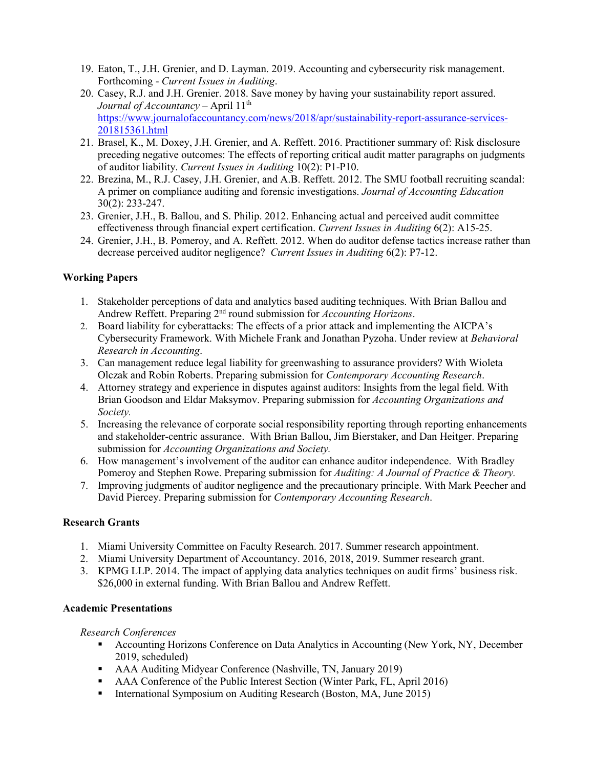- 19. Eaton, T., J.H. Grenier, and D. Layman. 2019. Accounting and cybersecurity risk management. Forthcoming - *Current Issues in Auditing*.
- 20. Casey, R.J. and J.H. Grenier. 2018. Save money by having your sustainability report assured. *Journal of Accountancy* – April 11<sup>th</sup> [https://www.journalofaccountancy.com/news/2018/apr/sustainability-report-assurance-services-](https://www.journalofaccountancy.com/news/2018/apr/sustainability-report-assurance-services-201815361.html)[201815361.html](https://www.journalofaccountancy.com/news/2018/apr/sustainability-report-assurance-services-201815361.html)
- 21. Brasel, K., M. Doxey, J.H. Grenier, and A. Reffett. 2016. Practitioner summary of: Risk disclosure preceding negative outcomes: The effects of reporting critical audit matter paragraphs on judgments of auditor liability. *Current Issues in Auditing* 10(2): P1-P10.
- 22. Brezina, M., R.J. Casey, J.H. Grenier, and A.B. Reffett. 2012. The SMU football recruiting scandal: A primer on compliance auditing and forensic investigations. *Journal of Accounting Education*  30(2): 233-247.
- 23. Grenier, J.H., B. Ballou, and S. Philip. 2012. Enhancing actual and perceived audit committee effectiveness through financial expert certification. *Current Issues in Auditing* 6(2): A15-25.
- 24. Grenier, J.H., B. Pomeroy, and A. Reffett. 2012. When do auditor defense tactics increase rather than decrease perceived auditor negligence? *Current Issues in Auditing* 6(2): P7-12.

# **Working Papers**

- 1. Stakeholder perceptions of data and analytics based auditing techniques. With Brian Ballou and Andrew Reffett. Preparing 2nd round submission for *Accounting Horizons*.
- 2. Board liability for cyberattacks: The effects of a prior attack and implementing the AICPA's Cybersecurity Framework. With Michele Frank and Jonathan Pyzoha. Under review at *Behavioral Research in Accounting*.
- 3. Can management reduce legal liability for greenwashing to assurance providers? With Wioleta Olczak and Robin Roberts. Preparing submission for *Contemporary Accounting Research*.
- 4. Attorney strategy and experience in disputes against auditors: Insights from the legal field. With Brian Goodson and Eldar Maksymov. Preparing submission for *Accounting Organizations and Society.*
- 5. Increasing the relevance of corporate social responsibility reporting through reporting enhancements and stakeholder-centric assurance. With Brian Ballou, Jim Bierstaker, and Dan Heitger. Preparing submission for *Accounting Organizations and Society.*
- 6. How management's involvement of the auditor can enhance auditor independence. With Bradley Pomeroy and Stephen Rowe. Preparing submission for *Auditing: A Journal of Practice & Theory.*
- 7. Improving judgments of auditor negligence and the precautionary principle. With Mark Peecher and David Piercey. Preparing submission for *Contemporary Accounting Research*.

# **Research Grants**

- 1. Miami University Committee on Faculty Research. 2017. Summer research appointment.
- 2. Miami University Department of Accountancy. 2016, 2018, 2019. Summer research grant.
- 3. KPMG LLP. 2014. The impact of applying data analytics techniques on audit firms' business risk. \$26,000 in external funding. With Brian Ballou and Andrew Reffett.

# **Academic Presentations**

# *Research Conferences*

- Accounting Horizons Conference on Data Analytics in Accounting (New York, NY, December 2019, scheduled)
- AAA Auditing Midyear Conference (Nashville, TN, January 2019)
- AAA Conference of the Public Interest Section (Winter Park, FL, April 2016)
- International Symposium on Auditing Research (Boston, MA, June 2015)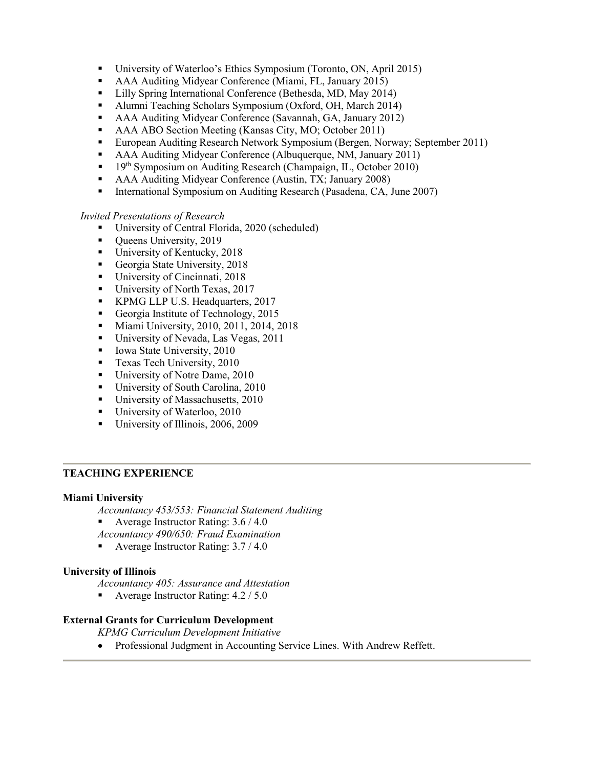- University of Waterloo's Ethics Symposium (Toronto, ON, April 2015)
- AAA Auditing Midyear Conference (Miami, FL, January 2015)
- Lilly Spring International Conference (Bethesda, MD, May 2014)
- Alumni Teaching Scholars Symposium (Oxford, OH, March 2014)
- AAA Auditing Midyear Conference (Savannah, GA, January 2012)
- AAA ABO Section Meeting (Kansas City, MO; October 2011)
- European Auditing Research Network Symposium (Bergen, Norway; September 2011)
- AAA Auditing Midyear Conference (Albuquerque, NM, January 2011)
- <sup>19th</sup> Symposium on Auditing Research (Champaign, IL, October 2010)
- AAA Auditing Midyear Conference (Austin, TX; January 2008)
- International Symposium on Auditing Research (Pasadena, CA, June 2007)

## *Invited Presentations of Research*

- University of Central Florida, 2020 (scheduled)
- Queens University, 2019
- University of Kentucky, 2018
- Georgia State University, 2018
- University of Cincinnati, 2018
- University of North Texas, 2017
- KPMG LLP U.S. Headquarters, 2017
- Georgia Institute of Technology, 2015
- **Miami University, 2010, 2011, 2014, 2018**
- University of Nevada, Las Vegas, 2011
- Iowa State University,  $2010$
- **Texas Tech University, 2010**
- University of Notre Dame, 2010
- University of South Carolina, 2010
- University of Massachusetts, 2010
- University of Waterloo, 2010
- University of Illinois, 2006, 2009

## **TEACHING EXPERIENCE**

## **Miami University**

*Accountancy 453/553: Financial Statement Auditing*

Average Instructor Rating: 3.6 / 4.0

*Accountancy 490/650: Fraud Examination*

Average Instructor Rating: 3.7 / 4.0

## **University of Illinois**

*Accountancy 405: Assurance and Attestation* 

Average Instructor Rating:  $4.2 / 5.0$ 

# **External Grants for Curriculum Development**

*KPMG Curriculum Development Initiative*

• Professional Judgment in Accounting Service Lines. With Andrew Reffett.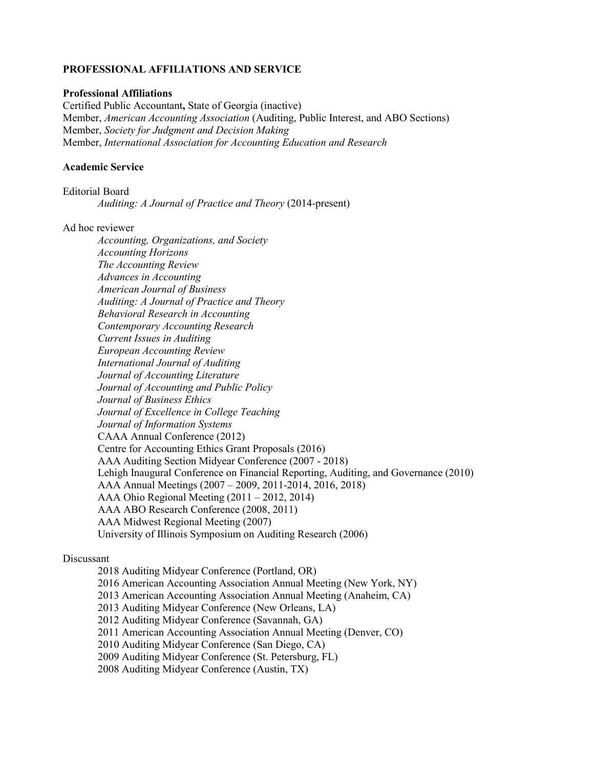## **PROFESSIONAL AFFILIATIONS AND SERVICE**

### **Professional Affiliations**

Certified Public Accountant**,** State of Georgia (inactive) Member, *American Accounting Association* (Auditing, Public Interest, and ABO Sections) Member, *Society for Judgment and Decision Making* Member, *International Association for Accounting Education and Research*

### **Academic Service**

Editorial Board

*Auditing: A Journal of Practice and Theory* (2014-present)

#### Ad hoc reviewer

*Accounting, Organizations, and Society Accounting Horizons The Accounting Review Advances in Accounting American Journal of Business Auditing: A Journal of Practice and Theory Behavioral Research in Accounting Contemporary Accounting Research Current Issues in Auditing European Accounting Review International Journal of Auditing Journal of Accounting Literature Journal of Accounting and Public Policy Journal of Business Ethics Journal of Excellence in College Teaching Journal of Information Systems* CAAA Annual Conference (2012) Centre for Accounting Ethics Grant Proposals (2016) AAA Auditing Section Midyear Conference (2007 - 2018) Lehigh Inaugural Conference on Financial Reporting, Auditing, and Governance (2010) AAA Annual Meetings (2007 – 2009, 2011-2014, 2016, 2018) AAA Ohio Regional Meeting (2011 – 2012, 2014) AAA ABO Research Conference (2008, 2011) AAA Midwest Regional Meeting (2007) University of Illinois Symposium on Auditing Research (2006)

## Discussant

2018 Auditing Midyear Conference (Portland, OR) 2016 American Accounting Association Annual Meeting (New York, NY) 2013 American Accounting Association Annual Meeting (Anaheim, CA) 2013 Auditing Midyear Conference (New Orleans, LA) 2012 Auditing Midyear Conference (Savannah, GA) 2011 American Accounting Association Annual Meeting (Denver, CO) 2010 Auditing Midyear Conference (San Diego, CA) 2009 Auditing Midyear Conference (St. Petersburg, FL) 2008 Auditing Midyear Conference (Austin, TX)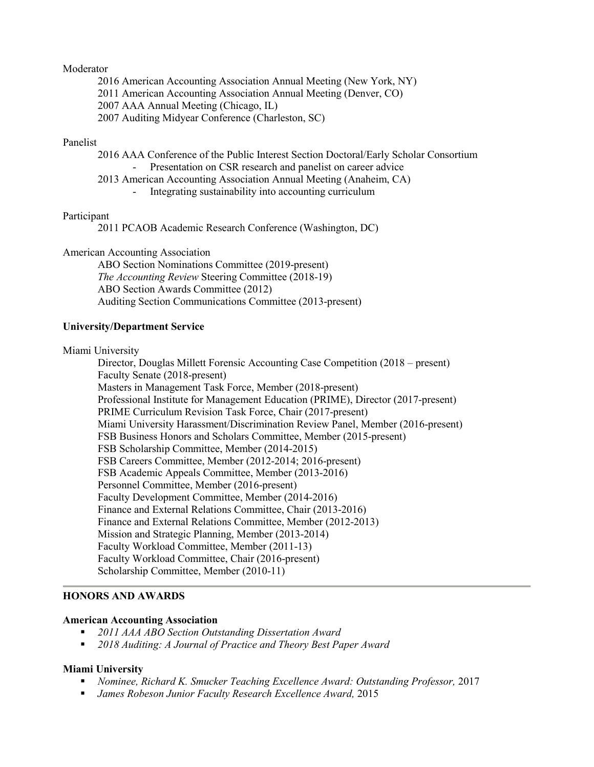#### Moderator

- 2016 American Accounting Association Annual Meeting (New York, NY)
- 2011 American Accounting Association Annual Meeting (Denver, CO)
- 2007 AAA Annual Meeting (Chicago, IL)
- 2007 Auditing Midyear Conference (Charleston, SC)

#### Panelist

2016 AAA Conference of the Public Interest Section Doctoral/Early Scholar Consortium Presentation on CSR research and panelist on career advice

- 2013 American Accounting Association Annual Meeting (Anaheim, CA)
	- Integrating sustainability into accounting curriculum

#### Participant

2011 PCAOB Academic Research Conference (Washington, DC)

American Accounting Association

ABO Section Nominations Committee (2019-present) *The Accounting Review* Steering Committee (2018-19) ABO Section Awards Committee (2012) Auditing Section Communications Committee (2013-present)

#### **University/Department Service**

Miami University

Director, Douglas Millett Forensic Accounting Case Competition (2018 – present) Faculty Senate (2018-present) Masters in Management Task Force, Member (2018-present) Professional Institute for Management Education (PRIME), Director (2017-present) PRIME Curriculum Revision Task Force, Chair (2017-present) Miami University Harassment/Discrimination Review Panel, Member (2016-present) FSB Business Honors and Scholars Committee, Member (2015-present) FSB Scholarship Committee, Member (2014-2015) FSB Careers Committee, Member (2012-2014; 2016-present) FSB Academic Appeals Committee, Member (2013-2016) Personnel Committee, Member (2016-present) Faculty Development Committee, Member (2014-2016) Finance and External Relations Committee, Chair (2013-2016) Finance and External Relations Committee, Member (2012-2013) Mission and Strategic Planning, Member (2013-2014) Faculty Workload Committee, Member (2011-13) Faculty Workload Committee, Chair (2016-present) Scholarship Committee, Member (2010-11)

### **HONORS AND AWARDS**

### **American Accounting Association**

- *2011 AAA ABO Section Outstanding Dissertation Award*
- *2018 Auditing: A Journal of Practice and Theory Best Paper Award*

### **Miami University**

- *Nominee, Richard K. Smucker Teaching Excellence Award: Outstanding Professor,* 2017
- *James Robeson Junior Faculty Research Excellence Award,* 2015